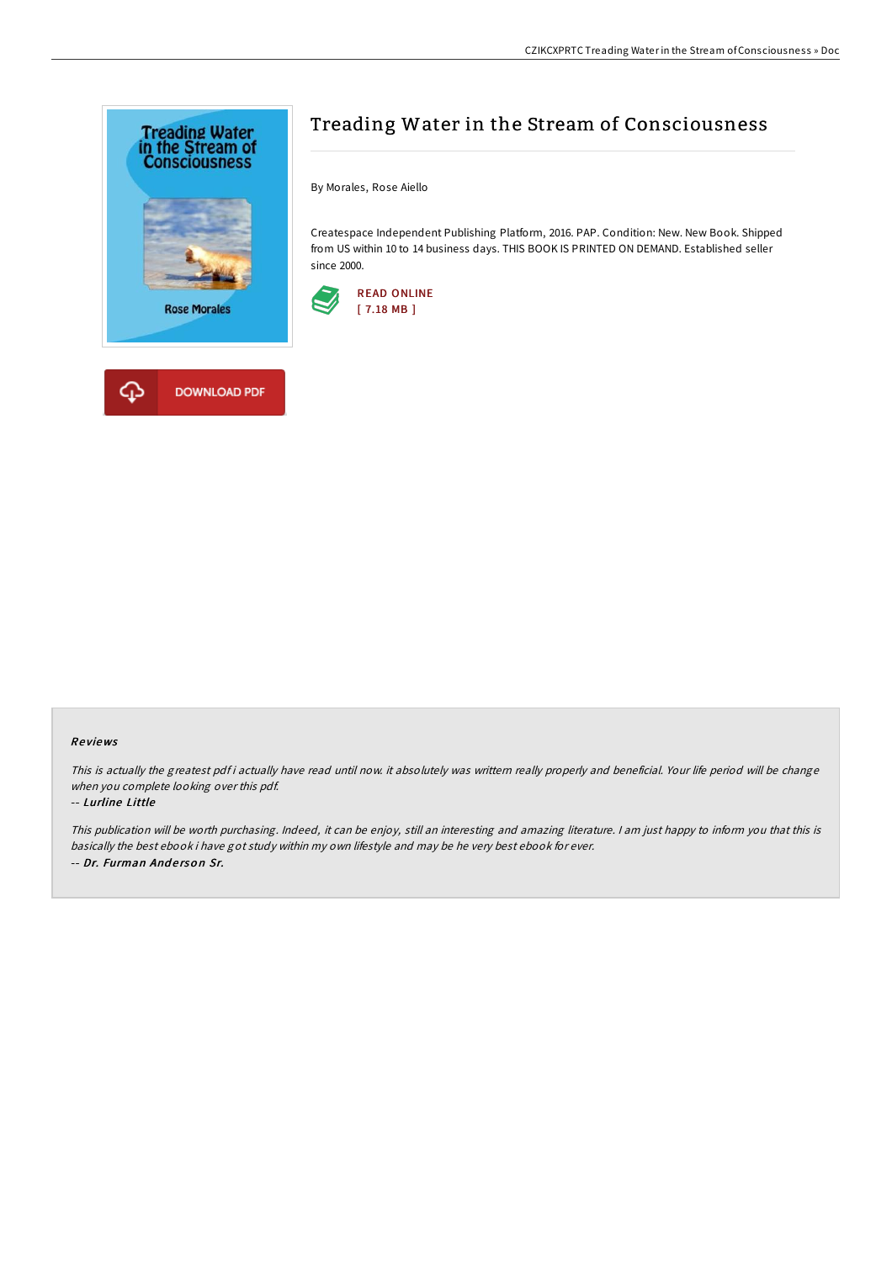

# Treading Water in the Stream of Consciousness

By Morales, Rose Aiello

Createspace Independent Publishing Platform, 2016. PAP. Condition: New. New Book. Shipped from US within 10 to 14 business days. THIS BOOK IS PRINTED ON DEMAND. Established seller since 2000.



## Re views

This is actually the greatest pdf i actually have read until now. it absolutely was writtern really properly and beneficial. Your life period will be change when you complete looking over this pdf.

### -- Lurline Little

This publication will be worth purchasing. Indeed, it can be enjoy, still an interesting and amazing literature. <sup>I</sup> am just happy to inform you that this is basically the best ebook i have got study within my own lifestyle and may be he very best ebook for ever. -- Dr. Furman Anderson Sr.